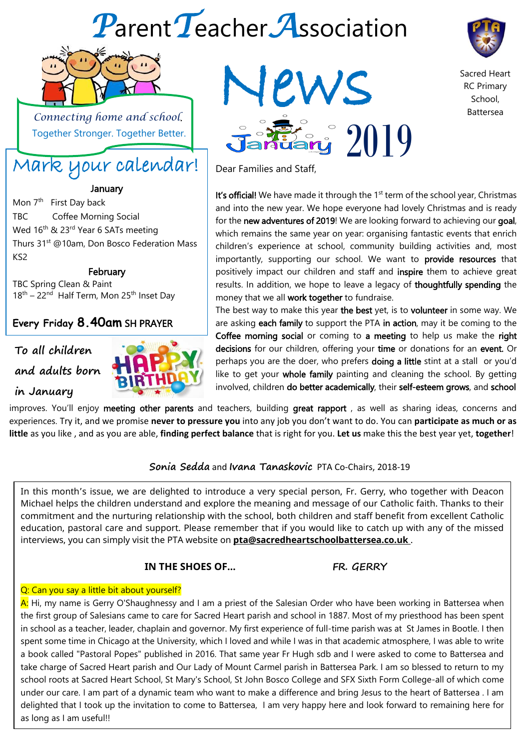# *P*arent*T*eacher*A*ssociation

Dear Families and Staff,



 *Connecting home and school*. Together Stronger. Together Better.

## Mark your calendar!

January

Mon 7<sup>th</sup> First Day back TBC Coffee Morning Social Wed 16<sup>th</sup> & 23<sup>rd</sup> Year 6 SATs meeting Thurs 31<sup>st</sup> @10am, Don Bosco Federation Mass KS2

**February** 

TBC Spring Clean & Paint 18<sup>th</sup> - 22<sup>nd</sup> Half Term, Mon 25<sup>th</sup> Inset Day

#### **Every Friday 8.40am** SH PRAYER

### **To all children and adults born**

#### **in January**

GROUP



#### **Sonia Sedda** and **Ivana Tanaskovic** PTA Co-Chairs, 2018-19

In this month's issue, we are delighted to introduce a very special person, Fr. Gerry, who together with Deacon Michael helps the children understand and explore the meaning and message of our Catholic faith. Thanks to their commitment and the nurturing relationship with the school, both children and staff benefit from excellent Catholic education, pastoral care and support. Please remember that if you would like to catch up with any of the missed interviews, you can simply visit the PTA website on **pta@sacredheartschoolbattersea.co.uk** .

#### **IN THE SHOES OF...** FR. GERRY

#### Q: Can you say a little bit about yourself?

A: Hi, my name is Gerry O'Shaughnessy and I am a priest of the Salesian Order who have been working in Battersea when the first group of Salesians came to care for Sacred Heart parish and school in 1887. Most of my priesthood has been spent in school as a teacher, leader, chaplain and governor. My first experience of full-time parish was at St James in Bootle. I then spent some time in Chicago at the University, which I loved and while I was in that academic atmosphere, I was able to write a book called "Pastoral Popes" published in 2016. That same year Fr Hugh sdb and I were asked to come to Battersea and take charge of Sacred Heart parish and Our Lady of Mount Carmel parish in Battersea Park. I am so blessed to return to my school roots at Sacred Heart School, St Mary's School, St John Bosco College and SFX Sixth Form College-all of which come under our care. I am part of a dynamic team who want to make a difference and bring Jesus to the heart of Battersea . I am delighted that I took up the invitation to come to Battersea, I am very happy here and look forward to remaining here for as long as I am useful!!



money that we all work together to fundraise.

It's official! We have made it through the  $1<sup>st</sup>$  term of the school year, Christmas and into the new year. We hope everyone had lovely Christmas and is ready for the new adventures of 2019! We are looking forward to achieving our goal, which remains the same year on year: organising fantastic events that enrich children's experience at school, community building activities and, most importantly, supporting our school. We want to **provide resources** that positively impact our children and staff and inspire them to achieve great results. In addition, we hope to leave a legacy of thoughtfully spending the

The best way to make this year the best yet, is to volunteer in some way. We are asking each family to support the PTA in action, may it be coming to the Coffee morning social or coming to a meeting to help us make the right decisions for our children, offering your time or donations for an event. Or perhaps you are the doer, who prefers **doing a little** stint at a stall or you'd like to get your whole family painting and cleaning the school. By getting involved, children do better academically, their self-esteem grows, and school

Sacred Heart RC Primary School, Battersea